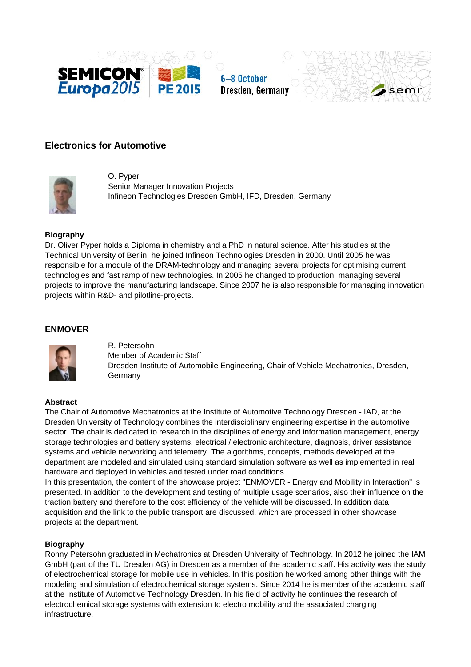





# **Electronics for Automotive**



O. Pyper Senior Manager Innovation Projects Infineon Technologies Dresden GmbH, IFD, Dresden, Germany

#### **Biography**

Dr. Oliver Pyper holds a Diploma in chemistry and a PhD in natural science. After his studies at the Technical University of Berlin, he joined Infineon Technologies Dresden in 2000. Until 2005 he was responsible for a module of the DRAM-technology and managing several projects for optimising current technologies and fast ramp of new technologies. In 2005 he changed to production, managing several projects to improve the manufacturing landscape. Since 2007 he is also responsible for managing innovation projects within R&D- and pilotline-projects.

### **ENMOVER**



R. Petersohn Member of Academic Staff Dresden Institute of Automobile Engineering, Chair of Vehicle Mechatronics, Dresden, Germany

### **Abstract**

The Chair of Automotive Mechatronics at the Institute of Automotive Technology Dresden - IAD, at the Dresden University of Technology combines the interdisciplinary engineering expertise in the automotive sector. The chair is dedicated to research in the disciplines of energy and information management, energy storage technologies and battery systems, electrical / electronic architecture, diagnosis, driver assistance systems and vehicle networking and telemetry. The algorithms, concepts, methods developed at the department are modeled and simulated using standard simulation software as well as implemented in real hardware and deployed in vehicles and tested under road conditions.

In this presentation, the content of the showcase project "ENMOVER - Energy and Mobility in Interaction" is presented. In addition to the development and testing of multiple usage scenarios, also their influence on the traction battery and therefore to the cost efficiency of the vehicle will be discussed. In addition data acquisition and the link to the public transport are discussed, which are processed in other showcase projects at the department.

## **Biography**

Ronny Petersohn graduated in Mechatronics at Dresden University of Technology. In 2012 he joined the IAM GmbH (part of the TU Dresden AG) in Dresden as a member of the academic staff. His activity was the study of electrochemical storage for mobile use in vehicles. In this position he worked among other things with the modeling and simulation of electrochemical storage systems. Since 2014 he is member of the academic staff at the Institute of Automotive Technology Dresden. In his field of activity he continues the research of electrochemical storage systems with extension to electro mobility and the associated charging infrastructure.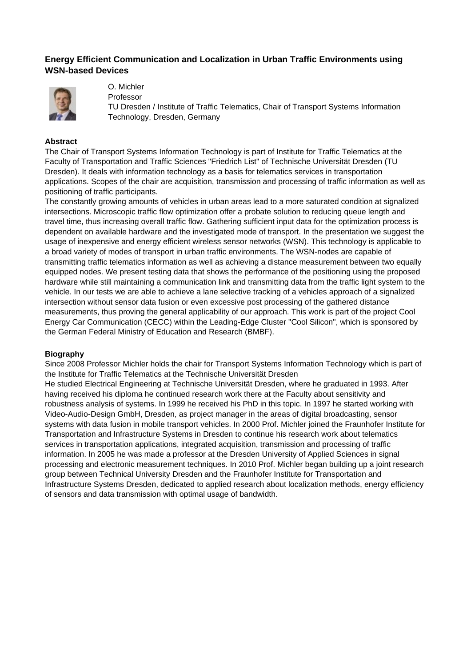## **Energy Efficient Communication and Localization in Urban Traffic Environments using WSN-based Devices**



O. Michler

Professor

TU Dresden / Institute of Traffic Telematics, Chair of Transport Systems Information Technology, Dresden, Germany

### **Abstract**

The Chair of Transport Systems Information Technology is part of Institute for Traffic Telematics at the Faculty of Transportation and Traffic Sciences "Friedrich List" of Technische Universität Dresden (TU Dresden). It deals with information technology as a basis for telematics services in transportation applications. Scopes of the chair are acquisition, transmission and processing of traffic information as well as positioning of traffic participants.

The constantly growing amounts of vehicles in urban areas lead to a more saturated condition at signalized intersections. Microscopic traffic flow optimization offer a probate solution to reducing queue length and travel time, thus increasing overall traffic flow. Gathering sufficient input data for the optimization process is dependent on available hardware and the investigated mode of transport. In the presentation we suggest the usage of inexpensive and energy efficient wireless sensor networks (WSN). This technology is applicable to a broad variety of modes of transport in urban traffic environments. The WSN-nodes are capable of transmitting traffic telematics information as well as achieving a distance measurement between two equally equipped nodes. We present testing data that shows the performance of the positioning using the proposed hardware while still maintaining a communication link and transmitting data from the traffic light system to the vehicle. In our tests we are able to achieve a lane selective tracking of a vehicles approach of a signalized intersection without sensor data fusion or even excessive post processing of the gathered distance measurements, thus proving the general applicability of our approach. This work is part of the project Cool Energy Car Communication (CECC) within the Leading-Edge Cluster "Cool Silicon", which is sponsored by the German Federal Ministry of Education and Research (BMBF).

#### **Biography**

Since 2008 Professor Michler holds the chair for Transport Systems Information Technology which is part of the Institute for Traffic Telematics at the Technische Universität Dresden

He studied Electrical Engineering at Technische Universität Dresden, where he graduated in 1993. After having received his diploma he continued research work there at the Faculty about sensitivity and robustness analysis of systems. In 1999 he received his PhD in this topic. In 1997 he started working with Video-Audio-Design GmbH, Dresden, as project manager in the areas of digital broadcasting, sensor systems with data fusion in mobile transport vehicles. In 2000 Prof. Michler joined the Fraunhofer Institute for Transportation and Infrastructure Systems in Dresden to continue his research work about telematics services in transportation applications, integrated acquisition, transmission and processing of traffic information. In 2005 he was made a professor at the Dresden University of Applied Sciences in signal processing and electronic measurement techniques. In 2010 Prof. Michler began building up a joint research group between Technical University Dresden and the Fraunhofer Institute for Transportation and Infrastructure Systems Dresden, dedicated to applied research about localization methods, energy efficiency of sensors and data transmission with optimal usage of bandwidth.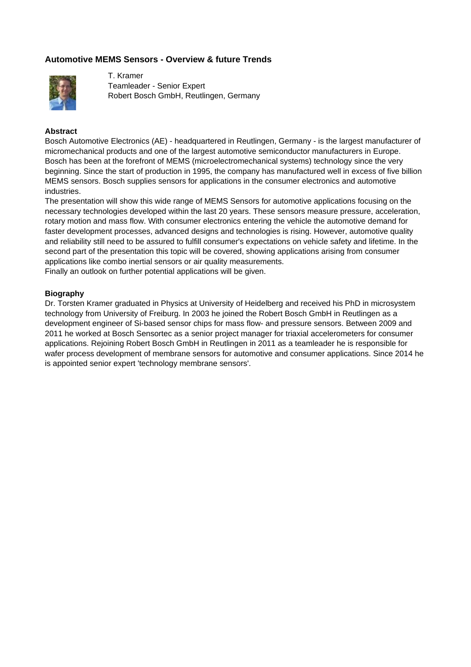## **Automotive MEMS Sensors - Overview & future Trends**



T. Kramer Teamleader - Senior Expert Robert Bosch GmbH, Reutlingen, Germany

#### **Abstract**

Bosch Automotive Electronics (AE) - headquartered in Reutlingen, Germany - is the largest manufacturer of micromechanical products and one of the largest automotive semiconductor manufacturers in Europe. Bosch has been at the forefront of MEMS (microelectromechanical systems) technology since the very beginning. Since the start of production in 1995, the company has manufactured well in excess of five billion MEMS sensors. Bosch supplies sensors for applications in the consumer electronics and automotive industries.

The presentation will show this wide range of MEMS Sensors for automotive applications focusing on the necessary technologies developed within the last 20 years. These sensors measure pressure, acceleration, rotary motion and mass flow. With consumer electronics entering the vehicle the automotive demand for faster development processes, advanced designs and technologies is rising. However, automotive quality and reliability still need to be assured to fulfill consumer's expectations on vehicle safety and lifetime. In the second part of the presentation this topic will be covered, showing applications arising from consumer applications like combo inertial sensors or air quality measurements. Finally an outlook on further potential applications will be given.

#### **Biography**

Dr. Torsten Kramer graduated in Physics at University of Heidelberg and received his PhD in microsystem technology from University of Freiburg. In 2003 he joined the Robert Bosch GmbH in Reutlingen as a development engineer of Si-based sensor chips for mass flow- and pressure sensors. Between 2009 and 2011 he worked at Bosch Sensortec as a senior project manager for triaxial accelerometers for consumer applications. Rejoining Robert Bosch GmbH in Reutlingen in 2011 as a teamleader he is responsible for wafer process development of membrane sensors for automotive and consumer applications. Since 2014 he is appointed senior expert 'technology membrane sensors'.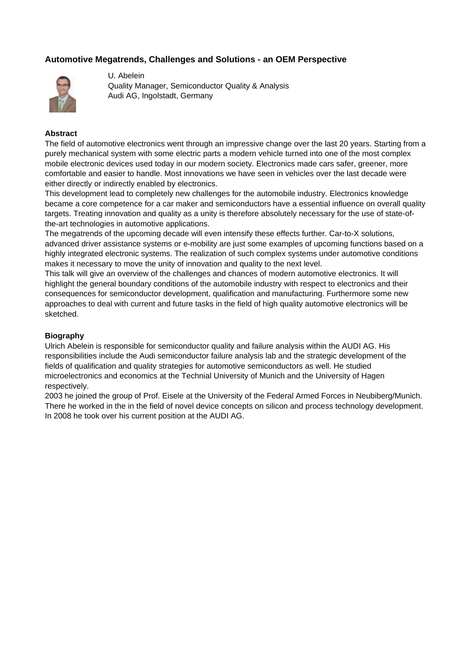## **Automotive Megatrends, Challenges and Solutions - an OEM Perspective**



U. Abelein Quality Manager, Semiconductor Quality & Analysis Audi AG, Ingolstadt, Germany

### **Abstract**

The field of automotive electronics went through an impressive change over the last 20 years. Starting from a purely mechanical system with some electric parts a modern vehicle turned into one of the most complex mobile electronic devices used today in our modern society. Electronics made cars safer, greener, more comfortable and easier to handle. Most innovations we have seen in vehicles over the last decade were either directly or indirectly enabled by electronics.

This development lead to completely new challenges for the automobile industry. Electronics knowledge became a core competence for a car maker and semiconductors have a essential influence on overall quality targets. Treating innovation and quality as a unity is therefore absolutely necessary for the use of state-ofthe-art technologies in automotive applications.

The megatrends of the upcoming decade will even intensify these effects further. Car-to-X solutions, advanced driver assistance systems or e-mobility are just some examples of upcoming functions based on a highly integrated electronic systems. The realization of such complex systems under automotive conditions makes it necessary to move the unity of innovation and quality to the next level.

This talk will give an overview of the challenges and chances of modern automotive electronics. It will highlight the general boundary conditions of the automobile industry with respect to electronics and their consequences for semiconductor development, qualification and manufacturing. Furthermore some new approaches to deal with current and future tasks in the field of high quality automotive electronics will be sketched.

### **Biography**

Ulrich Abelein is responsible for semiconductor quality and failure analysis within the AUDI AG. His responsibilities include the Audi semiconductor failure analysis lab and the strategic development of the fields of qualification and quality strategies for automotive semiconductors as well. He studied microelectronics and economics at the Technial University of Munich and the University of Hagen respectively.

2003 he joined the group of Prof. Eisele at the University of the Federal Armed Forces in Neubiberg/Munich. There he worked in the in the field of novel device concepts on silicon and process technology development. In 2008 he took over his current position at the AUDI AG.